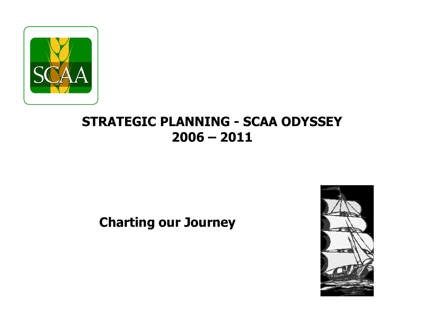

# **STRATEGIC PLANNING - SCAA ODYSSEY 2006 – 2011**

# **Charting our Journey**

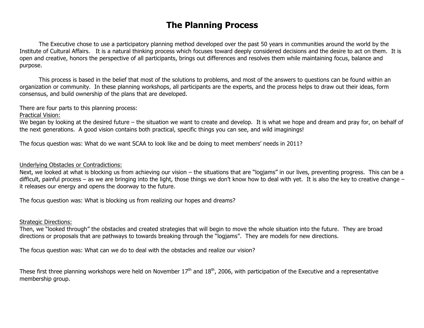# **The Planning Process**

The Executive chose to use a participatory planning method developed over the past 50 years in communities around the world by the Institute of Cultural Affairs. It is a natural thinking process which focuses toward deeply considered decisions and the desire to act on them. It is open and creative, honors the perspective of all participants, brings out differences and resolves them while maintaining focus, balance and purpose.

This process is based in the belief that most of the solutions to problems, and most of the answers to questions can be found within an organization or community. In these planning workshops, all participants are the experts, and the process helps to draw out their ideas, form consensus, and build ownership of the plans that are developed.

There are four parts to this planning process:

Practical Vision:

We began by looking at the desired future – the situation we want to create and develop. It is what we hope and dream and pray for, on behalf of the next generations. A good vision contains both practical, specific things you can see, and wild imaginings!

The focus question was: What do we want SCAA to look like and be doing to meet members' needs in 2011?

#### Underlying Obstacles or Contradictions:

Next, we looked at what is blocking us from achieving our vision – the situations that are "logjams" in our lives, preventing progress. This can be a difficult, painful process – as we are bringing into the light, those things we don't know how to deal with yet. It is also the key to creative change – it releases our energy and opens the doorway to the future.

The focus question was: What is blocking us from realizing our hopes and dreams?

#### Strategic Directions:

Then, we "looked through" the obstacles and created strategies that will begin to move the whole situation into the future. They are broad directions or proposals that are pathways to towards breaking through the "logjams". They are models for new directions.

The focus question was: What can we do to deal with the obstacles and realize our vision?

These first three planning workshops were held on November  $17<sup>th</sup>$  and  $18<sup>th</sup>$ , 2006, with participation of the Executive and a representative membership group.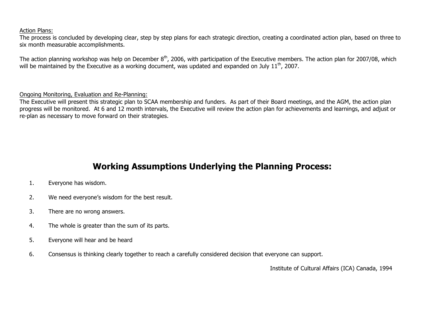#### Action Plans:

The process is concluded by developing clear, step by step plans for each strategic direction, creating a coordinated action plan, based on three to six month measurable accomplishments.

The action planning workshop was help on December 8<sup>th</sup>, 2006, with participation of the Executive members. The action plan for 2007/08, which will be maintained by the Executive as a working document, was updated and expanded on July 11<sup>th</sup>, 2007.

#### Ongoing Monitoring, Evaluation and Re-Planning:

The Executive will present this strategic plan to SCAA membership and funders. As part of their Board meetings, and the AGM, the action plan progress will be monitored. At 6 and 12 month intervals, the Executive will review the action plan for achievements and learnings, and adjust or re-plan as necessary to move forward on their strategies.

# **Working Assumptions Underlying the Planning Process:**

- 1. Everyone has wisdom.
- 2. We need everyone's wisdom for the best result.
- 3. There are no wrong answers.
- 4. The whole is greater than the sum of its parts.
- 5. Everyone will hear and be heard
- 6. Consensus is thinking clearly together to reach a carefully considered decision that everyone can support.

Institute of Cultural Affairs (ICA) Canada, 1994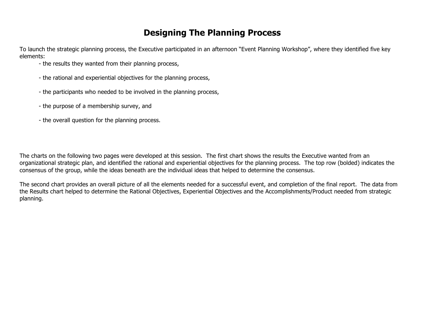# **Designing The Planning Process**

To launch the strategic planning process, the Executive participated in an afternoon "Event Planning Workshop", where they identified five key elements:

- the results they wanted from their planning process,
- the rational and experiential objectives for the planning process,
- the participants who needed to be involved in the planning process,
- the purpose of a membership survey, and
- the overall question for the planning process.

The charts on the following two pages were developed at this session. The first chart shows the results the Executive wanted from an organizational strategic plan, and identified the rational and experiential objectives for the planning process. The top row (bolded) indicates the consensus of the group, while the ideas beneath are the individual ideas that helped to determine the consensus.

The second chart provides an overall picture of all the elements needed for a successful event, and completion of the final report. The data from the Results chart helped to determine the Rational Objectives, Experiential Objectives and the Accomplishments/Product needed from strategic planning.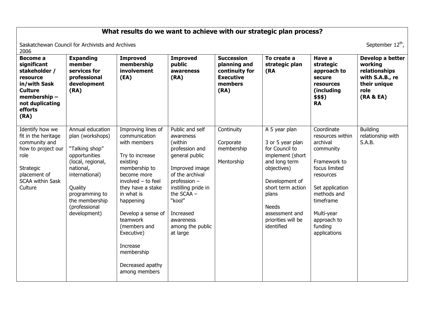# **What results do we want to achieve with our strategic plan process?**

Saskatchewan Council for Archivists and Archives September 12<sup>th</sup>, September 12<sup>th</sup>, 2006

| Become a<br>significant<br>stakeholder /<br>resource<br>in/with Sask<br><b>Culture</b><br>membership-<br>not duplicating<br>efforts<br>(RA)              | <b>Expanding</b><br>member<br>services for<br>professional<br>development<br>(RA)                                                                                                                           | <b>Improved</b><br>membership<br>involvement<br>(EA)                                                                                                                                                                                                                                                                    | <b>Improved</b><br>public<br>awareness<br>(RA)                                                                                                                                                                                            | <b>Succession</b><br>planning and<br>continuity for<br><b>Executive</b><br>members<br>(RA) | To create a<br>strategic plan<br>(RA                                                                                                                                                                                          | Have a<br>strategic<br>approach to<br>secure<br>resources<br>(including<br>\$\$\$)<br><b>RA</b>                                                                                                              | Develop a better<br>working<br>relationships<br>with S.A.B., re<br>their unique<br>role<br>(RA & EA) |
|----------------------------------------------------------------------------------------------------------------------------------------------------------|-------------------------------------------------------------------------------------------------------------------------------------------------------------------------------------------------------------|-------------------------------------------------------------------------------------------------------------------------------------------------------------------------------------------------------------------------------------------------------------------------------------------------------------------------|-------------------------------------------------------------------------------------------------------------------------------------------------------------------------------------------------------------------------------------------|--------------------------------------------------------------------------------------------|-------------------------------------------------------------------------------------------------------------------------------------------------------------------------------------------------------------------------------|--------------------------------------------------------------------------------------------------------------------------------------------------------------------------------------------------------------|------------------------------------------------------------------------------------------------------|
| Identify how we<br>fit in the heritage<br>community and<br>how to project our<br>role<br>Strategic<br>placement of<br><b>SCAA within Sask</b><br>Culture | Annual education<br>plan (workshops)<br>"Talking shop"<br>opportunities<br>(local, regional,<br>national,<br>international)<br>Quality<br>programming to<br>the membership<br>(professional<br>development) | Improving lines of<br>communication<br>with members<br>Try to increase<br>existing<br>membership to<br>become more<br>involved - to feel<br>they have a stake<br>in what is<br>happening<br>Develop a sense of<br>teamwork<br>(members and<br>Executive)<br>Increase<br>membership<br>Decreased apathy<br>among members | Public and self<br>awareness<br>(within<br>profession and<br>general public<br>Improved image<br>of the archival<br>profession -<br>instilling pride in<br>the SCAA -<br>"kool"<br>Increased<br>awareness<br>among the public<br>at large | Continuity<br>Corporate<br>membership<br>Mentorship                                        | A 5 year plan<br>3 or 5 year plan<br>for Council to<br>implement (short<br>and long term<br>objectives)<br>Development of<br>short term action<br>plans<br><b>Needs</b><br>assessment and<br>priorities will be<br>identified | Coordinate<br>resources within<br>archival<br>community<br>Framework to<br>focus limited<br>resources<br>Set application<br>methods and<br>timeframe<br>Multi-year<br>approach to<br>funding<br>applications | <b>Building</b><br>relationship with<br>S.A.B.                                                       |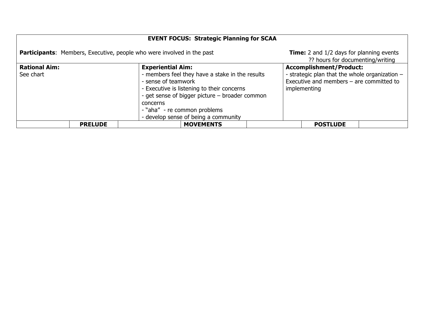| <b>EVENT FOCUS: Strategic Planning for SCAA</b> |                                                                                                                                                                                                                                                                                        |                                                                                                                                                |  |  |  |
|-------------------------------------------------|----------------------------------------------------------------------------------------------------------------------------------------------------------------------------------------------------------------------------------------------------------------------------------------|------------------------------------------------------------------------------------------------------------------------------------------------|--|--|--|
|                                                 | <b>Participants:</b> Members, Executive, people who were involved in the past                                                                                                                                                                                                          | <b>Time:</b> 2 and 1/2 days for planning events<br>?? hours for documenting/writing                                                            |  |  |  |
| <b>Rational Aim:</b><br>See chart               | <b>Experiential Aim:</b><br>- members feel they have a stake in the results<br>- sense of teamwork<br>- Executive is listening to their concerns<br>- get sense of bigger picture – broader common<br>concerns<br>- "aha" - re common problems<br>- develop sense of being a community | <b>Accomplishment/Product:</b><br>- strategic plan that the whole organization -<br>Executive and members $-$ are committed to<br>implementing |  |  |  |
| <b>PRELUDE</b>                                  | <b>MOVEMENTS</b>                                                                                                                                                                                                                                                                       | <b>POSTLUDE</b>                                                                                                                                |  |  |  |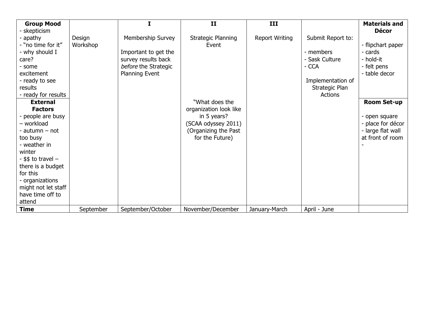| <b>Group Mood</b>      |           |                      | II                     | III                   |                   | <b>Materials and</b> |
|------------------------|-----------|----------------------|------------------------|-----------------------|-------------------|----------------------|
| skepticism             |           |                      |                        |                       |                   | <b>Décor</b>         |
| apathy                 | Design    | Membership Survey    | Strategic Planning     | <b>Report Writing</b> | Submit Report to: |                      |
| - "no time for it"     | Workshop  |                      | Event                  |                       |                   | - flipchart paper    |
| - why should I         |           | Important to get the |                        |                       | - members         | - cards              |
| care?                  |           | survey results back  |                        |                       | - Sask Culture    | - hold-it            |
| - some                 |           | before the Strategic |                        |                       | - CCA             | - felt pens          |
| excitement             |           | Planning Event       |                        |                       |                   | - table decor        |
| - ready to see         |           |                      |                        |                       | Implementation of |                      |
| results                |           |                      |                        |                       | Strategic Plan    |                      |
| - ready for results    |           |                      |                        |                       | <b>Actions</b>    |                      |
| <b>External</b>        |           |                      | "What does the         |                       |                   | <b>Room Set-up</b>   |
| <b>Factors</b>         |           |                      | organization look like |                       |                   |                      |
| people are busy        |           |                      | in 5 years?            |                       |                   | - open square        |
| - workload             |           |                      | (SCAA odyssey 2011)    |                       |                   | - place for décor    |
| - autumn - not         |           |                      | (Organizing the Past   |                       |                   | - large flat wall    |
| too busy               |           |                      | for the Future)        |                       |                   | at front of room     |
| - weather in           |           |                      |                        |                       |                   |                      |
| winter                 |           |                      |                        |                       |                   |                      |
| $-$ \$\$ to travel $-$ |           |                      |                        |                       |                   |                      |
| there is a budget      |           |                      |                        |                       |                   |                      |
| for this               |           |                      |                        |                       |                   |                      |
| - organizations        |           |                      |                        |                       |                   |                      |
| might not let staff    |           |                      |                        |                       |                   |                      |
| have time off to       |           |                      |                        |                       |                   |                      |
| attend                 |           |                      |                        |                       |                   |                      |
| <b>Time</b>            | September | September/October    | November/December      | January-March         | April - June      |                      |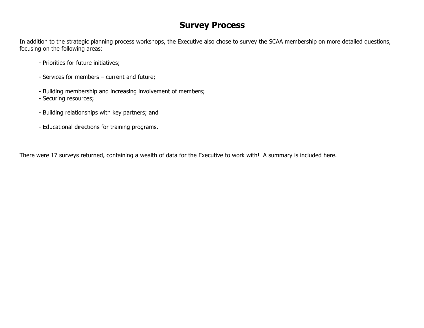# **Survey Process**

In addition to the strategic planning process workshops, the Executive also chose to survey the SCAA membership on more detailed questions, focusing on the following areas:

- Priorities for future initiatives;
- Services for members current and future;
- Building membership and increasing involvement of members;
- Securing resources;
- Building relationships with key partners; and
- Educational directions for training programs.

There were 17 surveys returned, containing a wealth of data for the Executive to work with! A summary is included here.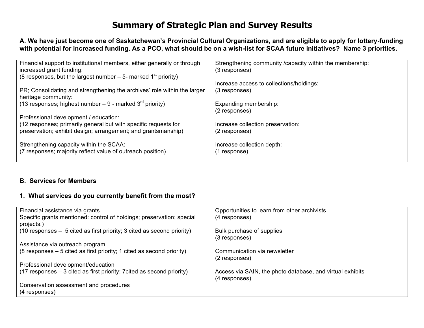# **Summary of Strategic Plan and Survey Results**

**A. We have just become one of Saskatchewan's Provincial Cultural Organizations, and are eligible to apply for lottery-funding with potential for increased funding. As a PCO, what should be on a wish-list for SCAA future initiatives? Name 3 priorities.**

| Financial support to institutional members, either generally or through      | Strengthening community / capacity within the membership: |
|------------------------------------------------------------------------------|-----------------------------------------------------------|
| increased grant funding:                                                     | (3 responses)                                             |
| (8 responses, but the largest number $-5$ - marked 1 <sup>st</sup> priority) |                                                           |
|                                                                              | Increase access to collections/holdings:                  |
| PR; Consolidating and strengthening the archives' role within the larger     | (3 responses)                                             |
| heritage community:                                                          |                                                           |
| (13 responses; highest number $-9$ - marked $3^{rd}$ priority)               | Expanding membership:                                     |
|                                                                              | (2 responses)                                             |
| Professional development / education:                                        |                                                           |
| (12 responses; primarily general but with specific requests for              | Increase collection preservation:                         |
| preservation; exhibit design; arrangement; and grantsmanship)                | (2 responses)                                             |
|                                                                              |                                                           |
| Strengthening capacity within the SCAA:                                      | Increase collection depth:                                |
|                                                                              |                                                           |
| (7 responses; majority reflect value of outreach position)                   | (1 response)                                              |
|                                                                              |                                                           |

### **B. Services for Members**

### **1. What services do you currently benefit from the most?**

| Financial assistance via grants                                                     | Opportunities to learn from other archivists                               |
|-------------------------------------------------------------------------------------|----------------------------------------------------------------------------|
| Specific grants mentioned: control of holdings; preservation; special<br>projects.) | (4 responses)                                                              |
| (10 responses - 5 cited as first priority; 3 cited as second priority)              | Bulk purchase of supplies                                                  |
|                                                                                     | (3 responses)                                                              |
| Assistance via outreach program                                                     |                                                                            |
| $(8$ responses $-5$ cited as first priority; 1 cited as second priority)            | Communication via newsletter<br>(2 responses)                              |
| Professional development/education                                                  |                                                                            |
| (17 responses – 3 cited as first priority; 7 cited as second priority)              | Access via SAIN, the photo database, and virtual exhibits<br>(4 responses) |
| Conservation assessment and procedures<br>(4 responses)                             |                                                                            |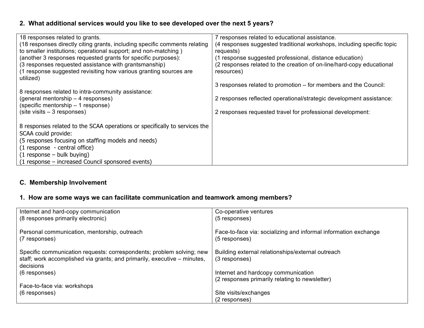### **2. What additional services would you like to see developed over the next 5 years?**

| 18 responses related to grants.<br>(18 responses directly citing grants, including specific comments relating<br>to smaller institutions; operational support; and non-matching)<br>(another 3 responses requested grants for specific purposes):                              | 7 responses related to educational assistance.<br>(4 responses suggested traditional workshops, including specific topic<br>requests)<br>(1 response suggested professional, distance education) |
|--------------------------------------------------------------------------------------------------------------------------------------------------------------------------------------------------------------------------------------------------------------------------------|--------------------------------------------------------------------------------------------------------------------------------------------------------------------------------------------------|
| (3 responses requested assistance with grantsmanship)<br>(1 response suggested revisiting how various granting sources are<br>utilized)                                                                                                                                        | (2 responses related to the creation of on-line/hard-copy educational<br>resources)                                                                                                              |
|                                                                                                                                                                                                                                                                                | 3 responses related to promotion – for members and the Council:                                                                                                                                  |
| 8 responses related to intra-community assistance:<br>(general mentorship - 4 responses)<br>(specific mentorship – 1 response)                                                                                                                                                 | 2 responses reflected operational/strategic development assistance:                                                                                                                              |
| $(site visits - 3 responses)$                                                                                                                                                                                                                                                  | 2 responses requested travel for professional development:                                                                                                                                       |
| 8 responses related to the SCAA operations or specifically to services the<br>SCAA could provide:<br>(5 responses focusing on staffing models and needs)<br>(1 response - central office)<br>$(1$ response – bulk buying)<br>(1 response – increased Council sponsored events) |                                                                                                                                                                                                  |

### **C. Membership Involvement**

# **1. How are some ways we can facilitate communication and teamwork among members?**

| Internet and hard-copy communication<br>(8 responses primarily electronic)                                                                                     | Co-operative ventures<br>(5 responses)                                           |
|----------------------------------------------------------------------------------------------------------------------------------------------------------------|----------------------------------------------------------------------------------|
| Personal communication, mentorship, outreach<br>(7 responses)                                                                                                  | Face-to-face via: socializing and informal information exchange<br>(5 responses) |
| Specific communication requests: correspondents; problem solving; new<br>staff; work accomplished via grants; and primarily, executive – minutes,<br>decisions | Building external relationships/external outreach<br>(3 responses)               |
| $(6$ responses)                                                                                                                                                | Internet and hardcopy communication                                              |
|                                                                                                                                                                | (2 responses primarily relating to newsletter)                                   |
| Face-to-face via: workshops                                                                                                                                    |                                                                                  |
| $(6$ responses)                                                                                                                                                | Site visits/exchanges                                                            |
|                                                                                                                                                                | (2 responses)                                                                    |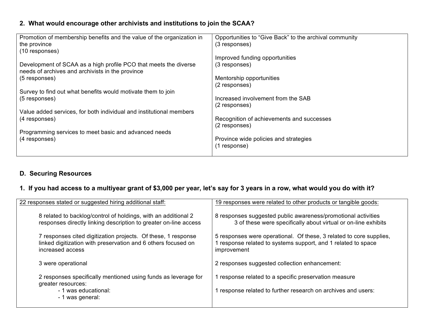### **2. What would encourage other archivists and institutions to join the SCAA?**

| Promotion of membership benefits and the value of the organization in | Opportunities to "Give Back" to the archival community |
|-----------------------------------------------------------------------|--------------------------------------------------------|
| the province                                                          | (3 responses)                                          |
| (10 responses)                                                        |                                                        |
|                                                                       | Improved funding opportunities                         |
| Development of SCAA as a high profile PCO that meets the diverse      | (3 responses)                                          |
| needs of archives and archivists in the province                      |                                                        |
| (5 responses)                                                         | Mentorship opportunities                               |
|                                                                       | (2 responses)                                          |
| Survey to find out what benefits would motivate them to join          |                                                        |
| (5 responses)                                                         | Increased involvement from the SAB                     |
|                                                                       | (2 responses)                                          |
| Value added services, for both individual and institutional members   |                                                        |
| (4 responses)                                                         | Recognition of achievements and successes              |
|                                                                       | (2 responses)                                          |
| Programming services to meet basic and advanced needs                 |                                                        |
| (4 responses)                                                         | Province wide policies and strategies                  |
|                                                                       | (1 response)                                           |
|                                                                       |                                                        |
|                                                                       |                                                        |

### **D. Securing Resources**

# **1. If you had access to a multiyear grant of \$3,000 per year, let's say for 3 years in a row, what would you do with it?**

| 22 responses stated or suggested hiring additional staff:                                                                                          | 19 responses were related to other products or tangible goods:                                                                                    |
|----------------------------------------------------------------------------------------------------------------------------------------------------|---------------------------------------------------------------------------------------------------------------------------------------------------|
| 8 related to backlog/control of holdings, with an additional 2<br>responses directly linking description to greater on-line access                 | 8 responses suggested public awareness/promotional activities<br>3 of these were specifically about virtual or on-line exhibits                   |
| 7 responses cited digitization projects. Of these, 1 response<br>linked digitization with preservation and 6 others focused on<br>increased access | 5 responses were operational. Of these, 3 related to core supplies,<br>response related to systems support, and 1 related to space<br>improvement |
| 3 were operational                                                                                                                                 | 2 responses suggested collection enhancement:                                                                                                     |
| 2 responses specifically mentioned using funds as leverage for<br>greater resources:<br>- 1 was educational:<br>- 1 was general:                   | response related to a specific preservation measure<br>response related to further research on archives and users:                                |
|                                                                                                                                                    |                                                                                                                                                   |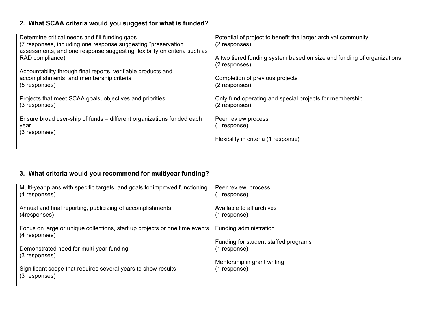# **2. What SCAA criteria would you suggest for what is funded?**

| Determine critical needs and fill funding gaps                                                            | Potential of project to benefit the larger archival community          |
|-----------------------------------------------------------------------------------------------------------|------------------------------------------------------------------------|
| (7 responses, including one response suggesting "preservation")                                           | (2 responses)                                                          |
| assessments, and one response suggesting flexibility on criteria such as                                  |                                                                        |
| RAD compliance)                                                                                           | A two tiered funding system based on size and funding of organizations |
|                                                                                                           | (2 responses)                                                          |
| Accountability through final reports, verifiable products and<br>accomplishments, and membership criteria | Completion of previous projects                                        |
| (5 responses)                                                                                             | (2 responses)                                                          |
|                                                                                                           |                                                                        |
| Projects that meet SCAA goals, objectives and priorities                                                  | Only fund operating and special projects for membership                |
| (3 responses)                                                                                             | (2 responses)                                                          |
|                                                                                                           |                                                                        |
| Ensure broad user-ship of funds – different organizations funded each<br>year                             | Peer review process<br>(1 response)                                    |
| (3 responses)                                                                                             |                                                                        |
|                                                                                                           | Flexibility in criteria (1 response)                                   |
|                                                                                                           |                                                                        |

# **3. What criteria would you recommend for multiyear funding?**

| Multi-year plans with specific targets, and goals for improved functioning                  | Peer review process                  |
|---------------------------------------------------------------------------------------------|--------------------------------------|
| (4 responses)                                                                               | (1 response)                         |
| Annual and final reporting, publicizing of accomplishments                                  | Available to all archives            |
| (4responses)                                                                                | (1 response)                         |
| Focus on large or unique collections, start up projects or one time events<br>(4 responses) | Funding administration               |
| Demonstrated need for multi-year funding                                                    | Funding for student staffed programs |
| (3 responses)                                                                               | (1 response)                         |
| Significant scope that requires several years to show results                               | Mentorship in grant writing          |
| (3 responses)                                                                               | (1 response)                         |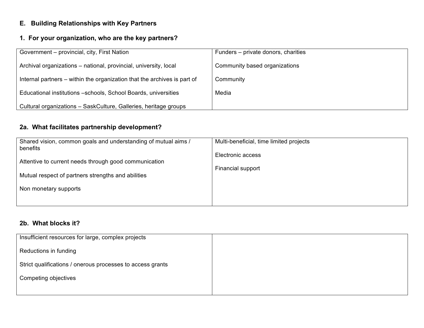# **E. Building Relationships with Key Partners**

### **1. For your organization, who are the key partners?**

| Government - provincial, city, First Nation                              | Funders – private donors, charities |
|--------------------------------------------------------------------------|-------------------------------------|
| Archival organizations – national, provincial, university, local         | Community based organizations       |
| Internal partners – within the organization that the archives is part of | Community                           |
| Educational institutions -schools, School Boards, universities           | Media                               |
| Cultural organizations - SaskCulture, Galleries, heritage groups         |                                     |

# **2a. What facilitates partnership development?**

| Shared vision, common goals and understanding of mutual aims /<br>benefits | Multi-beneficial, time limited projects |
|----------------------------------------------------------------------------|-----------------------------------------|
| Attentive to current needs through good communication                      | Electronic access                       |
| Mutual respect of partners strengths and abilities                         | Financial support                       |
| Non monetary supports                                                      |                                         |
|                                                                            |                                         |

### **2b. What blocks it?**

| Insufficient resources for large, complex projects         |  |
|------------------------------------------------------------|--|
| Reductions in funding                                      |  |
| Strict qualifications / onerous processes to access grants |  |
| Competing objectives                                       |  |
|                                                            |  |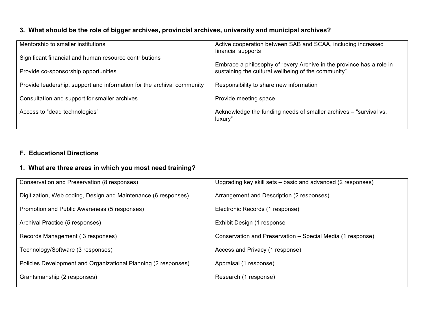# **3. What should be the role of bigger archives, provincial archives, university and municipal archives?**

| Mentorship to smaller institutions                                     | Active cooperation between SAB and SCAA, including increased<br>financial supports                                          |
|------------------------------------------------------------------------|-----------------------------------------------------------------------------------------------------------------------------|
| Significant financial and human resource contributions                 |                                                                                                                             |
| Provide co-sponsorship opportunities                                   | Embrace a philosophy of "every Archive in the province has a role in<br>sustaining the cultural wellbeing of the community" |
| Provide leadership, support and information for the archival community | Responsibility to share new information                                                                                     |
| Consultation and support for smaller archives                          | Provide meeting space                                                                                                       |
| Access to "dead technologies"                                          | Acknowledge the funding needs of smaller archives – "survival vs.<br>luxury"                                                |

# **F. Educational Directions**

### **1. What are three areas in which you most need training?**

| Conservation and Preservation (8 responses)                    | Upgrading key skill sets – basic and advanced (2 responses) |
|----------------------------------------------------------------|-------------------------------------------------------------|
| Digitization, Web coding, Design and Maintenance (6 responses) | Arrangement and Description (2 responses)                   |
| Promotion and Public Awareness (5 responses)                   | Electronic Records (1 response)                             |
| Archival Practice (5 responses)                                | Exhibit Design (1 response                                  |
| Records Management (3 responses)                               | Conservation and Preservation – Special Media (1 response)  |
| Technology/Software (3 responses)                              | Access and Privacy (1 response)                             |
| Policies Development and Organizational Planning (2 responses) | Appraisal (1 response)                                      |
| Grantsmanship (2 responses)                                    | Research (1 response)                                       |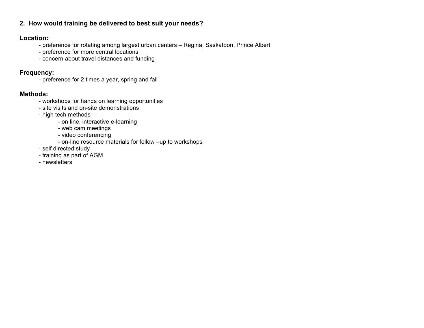### **2. How would training be delivered to best suit your needs?**

### **Location:**

- preference for rotating among largest urban centers Regina, Saskatoon, Prince Albert
- preference for more central locations
- concern about travel distances and funding

### **Frequency:**

- preference for 2 times a year, spring and fall

### **Methods:**

- workshops for hands on learning opportunities
- site visits and on-site demonstrations
- high tech methods
	- on line, interactive e-learning
	- web cam meetings
	- video conferencing
	- on-line resource materials for follow –up to workshops
- self directed study
- training as part of AGM
- newsletters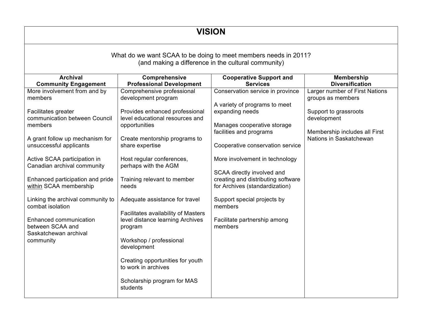# **VISION**

### What do we want SCAA to be doing to meet members needs in 2011? (and making a difference in the cultural community)

| <b>Archival</b>                   | Comprehensive<br><b>Cooperative Support and</b> |                                    | <b>Membership</b>              |  |
|-----------------------------------|-------------------------------------------------|------------------------------------|--------------------------------|--|
| <b>Community Engagement</b>       | <b>Professional Development</b>                 | <b>Services</b>                    | <b>Diversification</b>         |  |
| More involvement from and by      | Comprehensive professional                      | Conservation service in province   | Larger number of First Nations |  |
| members                           | development program                             |                                    | groups as members              |  |
|                                   |                                                 | A variety of programs to meet      |                                |  |
| Facilitates greater               | Provides enhanced professional                  | expanding needs                    | Support to grassroots          |  |
| communication between Council     | level educational resources and                 |                                    | development                    |  |
| members                           | opportunities                                   | Manages cooperative storage        |                                |  |
|                                   |                                                 | facilities and programs            | Membership includes all First  |  |
| A grant follow up mechanism for   | Create mentorship programs to                   |                                    | Nations in Saskatchewan        |  |
| unsuccessful applicants           | share expertise                                 | Cooperative conservation service   |                                |  |
|                                   |                                                 |                                    |                                |  |
| Active SCAA participation in      | Host regular conferences,                       | More involvement in technology     |                                |  |
| Canadian archival community       | perhaps with the AGM                            |                                    |                                |  |
|                                   |                                                 | SCAA directly involved and         |                                |  |
| Enhanced participation and pride  | Training relevant to member                     | creating and distributing software |                                |  |
| within SCAA membership            | needs                                           | for Archives (standardization)     |                                |  |
|                                   |                                                 |                                    |                                |  |
| Linking the archival community to | Adequate assistance for travel                  | Support special projects by        |                                |  |
| combat isolation                  |                                                 | members                            |                                |  |
|                                   |                                                 |                                    |                                |  |
|                                   | Facilitates availability of Masters             |                                    |                                |  |
| Enhanced communication            | level distance learning Archives                | Facilitate partnership among       |                                |  |
| between SCAA and                  | program                                         | members                            |                                |  |
| Saskatchewan archival             |                                                 |                                    |                                |  |
| community                         | Workshop / professional                         |                                    |                                |  |
|                                   | development                                     |                                    |                                |  |
|                                   |                                                 |                                    |                                |  |
|                                   | Creating opportunities for youth                |                                    |                                |  |
|                                   | to work in archives                             |                                    |                                |  |
|                                   |                                                 |                                    |                                |  |
|                                   | Scholarship program for MAS                     |                                    |                                |  |
|                                   | students                                        |                                    |                                |  |
|                                   |                                                 |                                    |                                |  |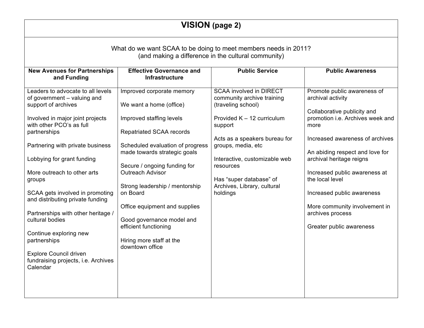| <b>VISION</b> (page 2)                                                                                                                                                                                                                                                                                                                                                                                                                                                                        |                                                                                                                                                                                                                                                                                                                                                                                                                                 |                                                                                                                                                                                                                                                                                                        |                                                                                                                                                                                                                                                                                                                                                                                                  |  |
|-----------------------------------------------------------------------------------------------------------------------------------------------------------------------------------------------------------------------------------------------------------------------------------------------------------------------------------------------------------------------------------------------------------------------------------------------------------------------------------------------|---------------------------------------------------------------------------------------------------------------------------------------------------------------------------------------------------------------------------------------------------------------------------------------------------------------------------------------------------------------------------------------------------------------------------------|--------------------------------------------------------------------------------------------------------------------------------------------------------------------------------------------------------------------------------------------------------------------------------------------------------|--------------------------------------------------------------------------------------------------------------------------------------------------------------------------------------------------------------------------------------------------------------------------------------------------------------------------------------------------------------------------------------------------|--|
| What do we want SCAA to be doing to meet members needs in 2011?<br>(and making a difference in the cultural community)                                                                                                                                                                                                                                                                                                                                                                        |                                                                                                                                                                                                                                                                                                                                                                                                                                 |                                                                                                                                                                                                                                                                                                        |                                                                                                                                                                                                                                                                                                                                                                                                  |  |
| <b>New Avenues for Partnerships</b><br>and Funding                                                                                                                                                                                                                                                                                                                                                                                                                                            | <b>Effective Governance and</b><br><b>Infrastructure</b>                                                                                                                                                                                                                                                                                                                                                                        | <b>Public Service</b>                                                                                                                                                                                                                                                                                  | <b>Public Awareness</b>                                                                                                                                                                                                                                                                                                                                                                          |  |
| Leaders to advocate to all levels<br>of government - valuing and<br>support of archives<br>Involved in major joint projects<br>with other PCO's as full<br>partnerships<br>Partnering with private business<br>Lobbying for grant funding<br>More outreach to other arts<br>groups<br>SCAA gets involved in promoting<br>and distributing private funding<br>Partnerships with other heritage /<br>cultural bodies<br>Continue exploring new<br>partnerships<br><b>Explore Council driven</b> | Improved corporate memory<br>We want a home (office)<br>Improved staffing levels<br><b>Repatriated SCAA records</b><br>Scheduled evaluation of progress<br>made towards strategic goals<br>Secure / ongoing funding for<br>Outreach Advisor<br>Strong leadership / mentorship<br>on Board<br>Office equipment and supplies<br>Good governance model and<br>efficient functioning<br>Hiring more staff at the<br>downtown office | <b>SCAA involved in DIRECT</b><br>community archive training<br>(traveling school)<br>Provided K - 12 curriculum<br>support<br>Acts as a speakers bureau for<br>groups, media, etc<br>Interactive, customizable web<br>resources<br>Has "super database" of<br>Archives, Library, cultural<br>holdings | Promote public awareness of<br>archival activity<br>Collaborative publicity and<br>promotion i.e. Archives week and<br>more<br>Increased awareness of archives<br>An abiding respect and love for<br>archival heritage reigns<br>Increased public awareness at<br>the local level<br>Increased public awareness<br>More community involvement in<br>archives process<br>Greater public awareness |  |
| fundraising projects, i.e. Archives<br>Calendar                                                                                                                                                                                                                                                                                                                                                                                                                                               |                                                                                                                                                                                                                                                                                                                                                                                                                                 |                                                                                                                                                                                                                                                                                                        |                                                                                                                                                                                                                                                                                                                                                                                                  |  |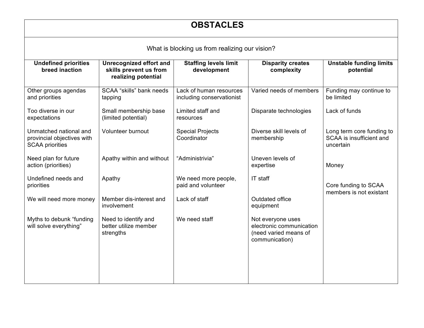| <b>OBSTACLES</b><br>What is blocking us from realizing our vision?             |                                                            |                                                      |                                                                                          |                                                                    |
|--------------------------------------------------------------------------------|------------------------------------------------------------|------------------------------------------------------|------------------------------------------------------------------------------------------|--------------------------------------------------------------------|
|                                                                                |                                                            |                                                      |                                                                                          |                                                                    |
| Other groups agendas<br>and priorities                                         | SCAA "skills" bank needs<br>tapping                        | Lack of human resources<br>including conservationist | Varied needs of members                                                                  | Funding may continue to<br>be limited                              |
| Too diverse in our<br>expectations                                             | Small membership base<br>(limited potential)               | Limited staff and<br>resources                       | Disparate technologies                                                                   | Lack of funds                                                      |
| Unmatched national and<br>provincial objectives with<br><b>SCAA priorities</b> | Volunteer burnout                                          | <b>Special Projects</b><br>Coordinator               | Diverse skill levels of<br>membership                                                    | Long term core funding to<br>SCAA is insufficient and<br>uncertain |
| Need plan for future<br>action (priorities)                                    | Apathy within and without                                  | "Administrivia"                                      | Uneven levels of<br>expertise                                                            | Money                                                              |
| Undefined needs and<br>priorities                                              | Apathy                                                     | We need more people,<br>paid and volunteer           | IT staff                                                                                 | Core funding to SCAA<br>members is not existant                    |
| We will need more money                                                        | Member dis-interest and<br>involvement                     | Lack of staff                                        | Outdated office<br>equipment                                                             |                                                                    |
| Myths to debunk "funding<br>will solve everything"                             | Need to identify and<br>better utilize member<br>strengths | We need staff                                        | Not everyone uses<br>electronic communication<br>(need varied means of<br>communication) |                                                                    |
|                                                                                |                                                            |                                                      |                                                                                          |                                                                    |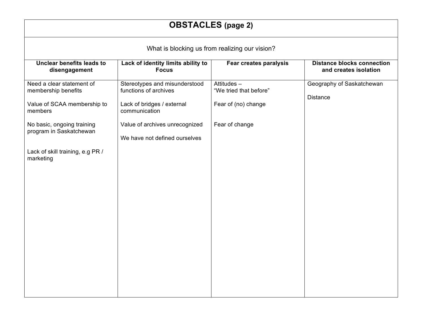| <b>OBSTACLES</b> (page 2)                                                                                                                                                                            |                                                                                                                                                                          |                                                                               |                                              |  |  |  |
|------------------------------------------------------------------------------------------------------------------------------------------------------------------------------------------------------|--------------------------------------------------------------------------------------------------------------------------------------------------------------------------|-------------------------------------------------------------------------------|----------------------------------------------|--|--|--|
| What is blocking us from realizing our vision?                                                                                                                                                       |                                                                                                                                                                          |                                                                               |                                              |  |  |  |
| Unclear benefits leads to<br>Lack of identity limits ability to<br><b>Distance blocks connection</b><br>Fear creates paralysis<br><b>Focus</b><br>and creates isolation<br>disengagement             |                                                                                                                                                                          |                                                                               |                                              |  |  |  |
| Need a clear statement of<br>membership benefits<br>Value of SCAA membership to<br>members<br>No basic, ongoing training<br>program in Saskatchewan<br>Lack of skill training, e.g PR /<br>marketing | Stereotypes and misunderstood<br>functions of archives<br>Lack of bridges / external<br>communication<br>Value of archives unrecognized<br>We have not defined ourselves | Attitudes-<br>"We tried that before"<br>Fear of (no) change<br>Fear of change | Geography of Saskatchewan<br><b>Distance</b> |  |  |  |
|                                                                                                                                                                                                      |                                                                                                                                                                          |                                                                               |                                              |  |  |  |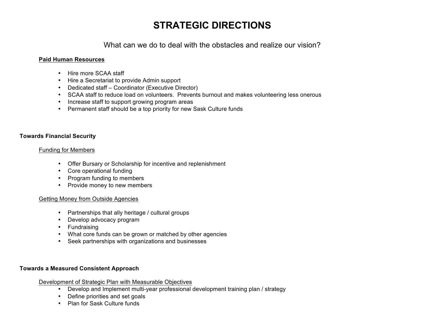# **STRATEGIC DIRECTIONS**

What can we do to deal with the obstacles and realize our vision?

#### **Paid Human Resources**

- Hire more SCAA staff
- Hire a Secretariat to provide Admin support
- Dedicated staff Coordinator (Executive Director)
- SCAA staff to reduce load on volunteers. Prevents burnout and makes volunteering less onerous
- Increase staff to support growing program areas
- Permanent staff should be a top priority for new Sask Culture funds

#### **Towards Financial Security**

#### Funding for Members

- Offer Bursary or Scholarship for incentive and replenishment
- Core operational funding
- Program funding to members
- Provide money to new members

#### Getting Money from Outside Agencies

- Partnerships that ally heritage / cultural groups
- Develop advocacy program
- Fundraising
- What core funds can be grown or matched by other agencies
- Seek partnerships with organizations and businesses

#### **Towards a Measured Consistent Approach**

#### Development of Strategic Plan with Measurable Objectives

- Develop and Implement multi-year professional development training plan / strategy
- Define priorities and set goals
- Plan for Sask Culture funds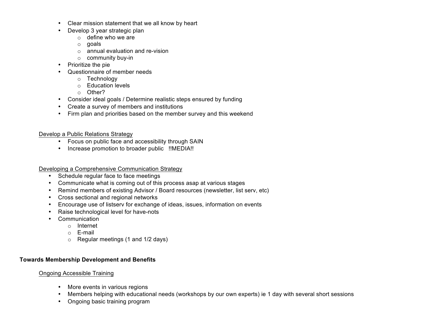- Clear mission statement that we all know by heart
- Develop 3 year strategic plan
	- $\circ$  define who we are
	- o goals
	- $\circ$  annual evaluation and re-vision
	- o community buy-in
- Prioritize the pie
- Questionnaire of member needs
	- o Technology
	- o Education levels
	- o Other?
- Consider ideal goals / Determine realistic steps ensured by funding
- Create a survey of members and institutions
- Firm plan and priorities based on the member survey and this weekend

Develop a Public Relations Strategy

- Focus on public face and accessibility through SAIN
- Increase promotion to broader public !!MEDIA!!

Developing a Comprehensive Communication Strategy

- Schedule regular face to face meetings
- Communicate what is coming out of this process asap at various stages
- Remind members of existing Advisor / Board resources (newsletter, list serv, etc)
- Cross sectional and regional networks
- Encourage use of listserv for exchange of ideas, issues, information on events
- Raise technological level for have-nots
- Communication
	- o Internet
	- o E-mail
	- o Regular meetings (1 and 1/2 days)

### **Towards Membership Development and Benefits**

### Ongoing Accessible Training

- More events in various regions
- Members helping with educational needs (workshops by our own experts) ie 1 day with several short sessions
- Ongoing basic training program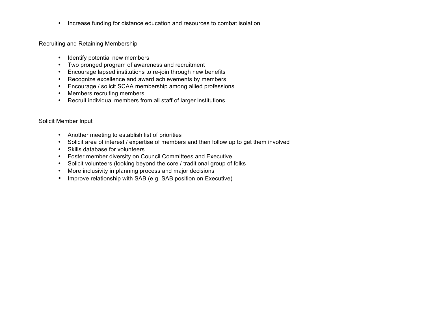• Increase funding for distance education and resources to combat isolation

#### Recruiting and Retaining Membership

- Identify potential new members
- Two pronged program of awareness and recruitment
- Encourage lapsed institutions to re-join through new benefits
- Recognize excellence and award achievements by members
- Encourage / solicit SCAA membership among allied professions
- Members recruiting members
- Recruit individual members from all staff of larger institutions

#### Solicit Member Input

- Another meeting to establish list of priorities
- Solicit area of interest / expertise of members and then follow up to get them involved
- Skills database for volunteers
- Foster member diversity on Council Committees and Executive
- Solicit volunteers (looking beyond the core / traditional group of folks
- More inclusivity in planning process and major decisions
- Improve relationship with SAB (e.g. SAB position on Executive)